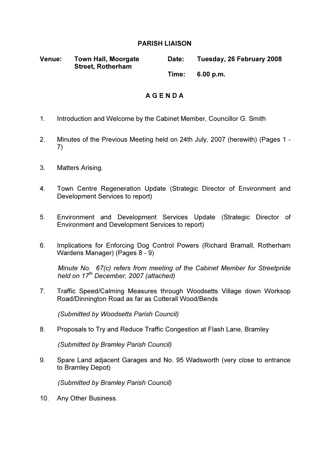### PARISH LIAISON

| <b>Venue:</b> | <b>Town Hall, Moorgate</b><br><b>Street, Rotherham</b> | Date: | Tuesday, 26 February 2008 |
|---------------|--------------------------------------------------------|-------|---------------------------|
|               |                                                        | Time: | 6.00 p.m.                 |

# A G E N D A

- 1. Introduction and Welcome by the Cabinet Member, Councillor G. Smith
- 2. Minutes of the Previous Meeting held on 24th July, 2007 (herewith) (Pages 1 7)
- 3. Matters Arising.
- 4. Town Centre Regeneration Update (Strategic Director of Environment and Development Services to report)
- 5. Environment and Development Services Update (Strategic Director of Environment and Development Services to report)
- 6. Implications for Enforcing Dog Control Powers (Richard Bramall, Rotherham Wardens Manager) (Pages 8 - 9)

Minute No. 67(c) refers from meeting of the Cabinet Member for Streetpride held on 17<sup>th</sup> December, 2007 (attached)

7. Traffic Speed/Calming Measures through Woodsetts Village down Worksop Road/Dinnington Road as far as Cotterall Wood/Bends

(Submitted by Woodsetts Parish Council)

8. Proposals to Try and Reduce Traffic Congestion at Flash Lane, Bramley

(Submitted by Bramley Parish Council)

9. Spare Land adjacent Garages and No. 95 Wadsworth (very close to entrance to Bramley Depot)

(Submitted by Bramley Parish Council)

10. Any Other Business.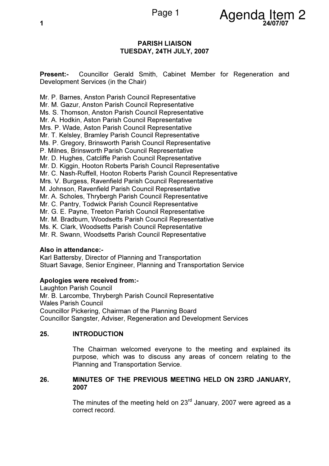

### PARISH LIAISON TUESDAY, 24TH JULY, 2007

Present:- Councillor Gerald Smith, Cabinet Member for Regeneration and Development Services (in the Chair)

Mr. P. Barnes, Anston Parish Council Representative Mr. M. Gazur, Anston Parish Council Representative Ms. S. Thomson, Anston Parish Council Representative Mr. A. Hodkin, Aston Parish Council Representative Mrs. P. Wade, Aston Parish Council Representative Mr. T. Kelsley, Bramley Parish Council Representative Ms. P. Gregory, Brinsworth Parish Council Representative P. Milnes, Brinsworth Parish Council Representative Mr. D. Hughes, Catcliffe Parish Council Representative Mr. D. Kiggin, Hooton Roberts Parish Council Representative Mr. C. Nash-Ruffell, Hooton Roberts Parish Council Representative Mrs. V. Burgess, Ravenfield Parish Council Representative M. Johnson, Ravenfield Parish Council Representative Mr. A. Scholes, Thrybergh Parish Council Representative Mr. C. Pantry, Todwick Parish Council Representative Mr. G. E. Payne, Treeton Parish Council Representative Mr. M. Bradburn, Woodsetts Parish Council Representative Ms. K. Clark, Woodsetts Parish Council Representative Mr. R. Swann, Woodsetts Parish Council Representative

# Also in attendance:-

Karl Battersby, Director of Planning and Transportation Stuart Savage, Senior Engineer, Planning and Transportation Service

#### Apologies were received from:-

Laughton Parish Council Mr. B. Larcombe, Thrybergh Parish Council Representative Wales Parish Council Councillor Pickering, Chairman of the Planning Board Councillor Sangster, Adviser, Regeneration and Development Services

# 25. INTRODUCTION

 The Chairman welcomed everyone to the meeting and explained its purpose, which was to discuss any areas of concern relating to the Planning and Transportation Service.

### 26. MINUTES OF THE PREVIOUS MEETING HELD ON 23RD JANUARY, 2007

The minutes of the meeting held on  $23<sup>rd</sup>$  January, 2007 were agreed as a correct record.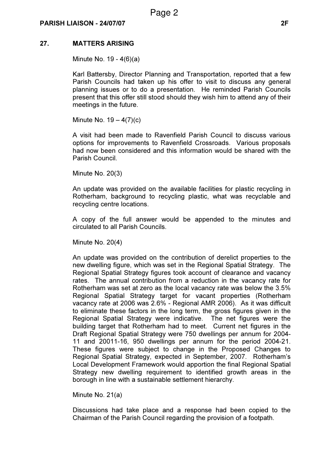# 27. MATTERS ARISING

Minute No. 19 - 4(6)(a)

Karl Battersby, Director Planning and Transportation, reported that a few Parish Councils had taken up his offer to visit to discuss any general planning issues or to do a presentation. He reminded Parish Councils present that this offer still stood should they wish him to attend any of their meetings in the future.

Minute No.  $19 - 4(7)(c)$ 

A visit had been made to Ravenfield Parish Council to discuss various options for improvements to Ravenfield Crossroads. Various proposals had now been considered and this information would be shared with the Parish Council.

Minute No. 20(3)

An update was provided on the available facilities for plastic recycling in Rotherham, background to recycling plastic, what was recyclable and recycling centre locations.

A copy of the full answer would be appended to the minutes and circulated to all Parish Councils.

Minute No. 20(4)

An update was provided on the contribution of derelict properties to the new dwelling figure, which was set in the Regional Spatial Strategy. The Regional Spatial Strategy figures took account of clearance and vacancy rates. The annual contribution from a reduction in the vacancy rate for Rotherham was set at zero as the local vacancy rate was below the 3.5% Regional Spatial Strategy target for vacant properties (Rotherham vacancy rate at 2006 was 2.6% - Regional AMR 2006). As it was difficult to eliminate these factors in the long term, the gross figures given in the Regional Spatial Strategy were indicative. The net figures were the building target that Rotherham had to meet. Current net figures in the Draft Regional Spatial Strategy were 750 dwellings per annum for 2004- 11 and 20011-16, 950 dwellings per annum for the period 2004-21. These figures were subject to change in the Proposed Changes to Regional Spatial Strategy, expected in September, 2007. Rotherham's Local Development Framework would apportion the final Regional Spatial Strategy new dwelling requirement to identified growth areas in the borough in line with a sustainable settlement hierarchy.

Minute No. 21(a)

Discussions had take place and a response had been copied to the Chairman of the Parish Council regarding the provision of a footpath.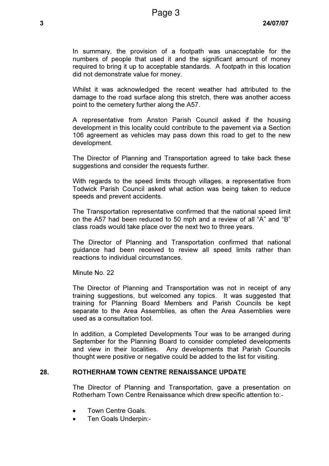In summary, the provision of a footpath was unacceptable for the numbers of people that used it and the significant amount of money required to bring it up to acceptable standards. A footpath in this location did not demonstrate value for money.

Whilst it was acknowledged the recent weather had attributed to the damage to the road surface along this stretch, there was another access point to the cemetery further along the A57.

A representative from Anston Parish Council asked if the housing development in this locality could contribute to the pavement via a Section 106 agreement as vehicles may pass down this road to get to the new development.

The Director of Planning and Transportation agreed to take back these suggestions and consider the requests further.

With regards to the speed limits through villages, a representative from Todwick Parish Council asked what action was being taken to reduce speeds and prevent accidents.

The Transportation representative confirmed that the national speed limit on the A57 had been reduced to 50 mph and a review of all "A" and "B" class roads would take place over the next two to three years.

The Director of Planning and Transportation confirmed that national guidance had been received to review all speed limits rather than reactions to individual circumstances.

Minute No. 22

The Director of Planning and Transportation was not in receipt of any training suggestions, but welcomed any topics. It was suggested that training for Planning Board Members and Parish Councils be kept separate to the Area Assemblies, as often the Area Assemblies were used as a consultation tool.

In addition, a Completed Developments Tour was to be arranged during September for the Planning Board to consider completed developments and view in their localities. Any developments that Parish Councils thought were positive or negative could be added to the list for visiting.

# 28. ROTHERHAM TOWN CENTRE RENAISSANCE UPDATE

 The Director of Planning and Transportation, gave a presentation on Rotherham Town Centre Renaissance which drew specific attention to:-

- Town Centre Goals.
- Ten Goals Underpin:-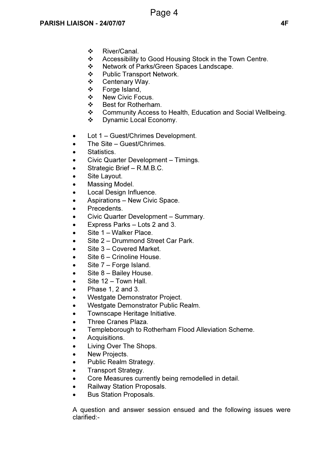- ❖ River/Canal.
- ❖ Accessibility to Good Housing Stock in the Town Centre.<br>❖ Network of Parks/Green Spaces Landscape
- Network of Parks/Green Spaces Landscape.
- ❖ Public Transport Network.
- Centenary Way.
- Forge Island,
- ❖ New Civic Focus.
- ❖ Best for Rotherham.
- Community Access to Health, Education and Social Wellbeing.
- Dynamic Local Economy.
- Lot 1 Guest/Chrimes Development.
- The Site Guest/Chrimes.
- Statistics.
- Civic Quarter Development Timings.
- Strategic Brief R.M.B.C.
- Site Layout.
- Massing Model.
- Local Design Influence.
- Aspirations New Civic Space.
- Precedents.
- Civic Quarter Development Summary.
- Express Parks Lots 2 and 3.
- Site 1 Walker Place.
- Site 2 Drummond Street Car Park.
- Site 3 Covered Market.
- Site 6 Crinoline House.
- Site 7 Forge Island.
- Site 8 Bailey House.
- Site 12 Town Hall.
- Phase 1, 2 and 3.
- Westgate Demonstrator Project.
- Westgate Demonstrator Public Realm.
- Townscape Heritage Initiative.
- Three Cranes Plaza.
- Templeborough to Rotherham Flood Alleviation Scheme.
- Acquisitions.
- Living Over The Shops.
- New Projects.
- Public Realm Strategy.
- Transport Strategy.
- Core Measures currently being remodelled in detail.
- Railway Station Proposals.
- Bus Station Proposals.

A question and answer session ensued and the following issues were clarified:-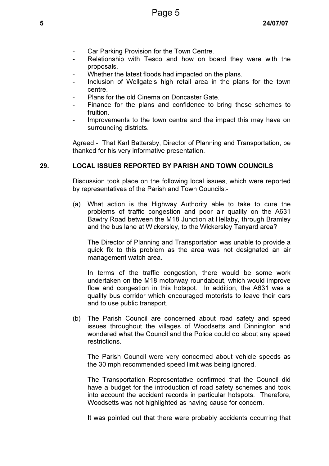- Car Parking Provision for the Town Centre.
- Relationship with Tesco and how on board they were with the proposals.
- Whether the latest floods had impacted on the plans.
- Inclusion of Wellgate's high retail area in the plans for the town centre.
- Plans for the old Cinema on Doncaster Gate.
- Finance for the plans and confidence to bring these schemes to fruition.
- Improvements to the town centre and the impact this may have on surrounding districts.

Agreed:- That Karl Battersby, Director of Planning and Transportation, be thanked for his very informative presentation.

### 29. LOCAL ISSUES REPORTED BY PARISH AND TOWN COUNCILS

 Discussion took place on the following local issues, which were reported by representatives of the Parish and Town Councils:-

(a) What action is the Highway Authority able to take to cure the problems of traffic congestion and poor air quality on the A631 Bawtry Road between the M18 Junction at Hellaby, through Bramley and the bus lane at Wickersley, to the Wickersley Tanyard area?

 The Director of Planning and Transportation was unable to provide a quick fix to this problem as the area was not designated an air management watch area.

 In terms of the traffic congestion, there would be some work undertaken on the M18 motorway roundabout, which would improve flow and congestion in this hotspot. In addition, the A631 was a quality bus corridor which encouraged motorists to leave their cars and to use public transport.

(b) The Parish Council are concerned about road safety and speed issues throughout the villages of Woodsetts and Dinnington and wondered what the Council and the Police could do about any speed restrictions.

 The Parish Council were very concerned about vehicle speeds as the 30 mph recommended speed limit was being ignored.

 The Transportation Representative confirmed that the Council did have a budget for the introduction of road safety schemes and took into account the accident records in particular hotspots. Therefore, Woodsetts was not highlighted as having cause for concern.

It was pointed out that there were probably accidents occurring that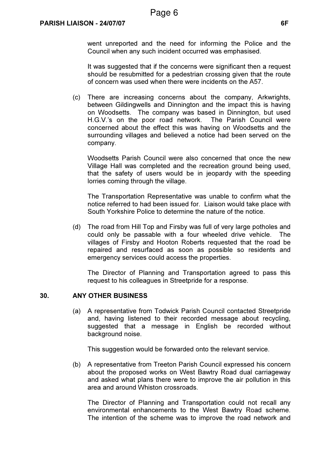went unreported and the need for informing the Police and the Council when any such incident occurred was emphasised.

 It was suggested that if the concerns were significant then a request should be resubmitted for a pedestrian crossing given that the route of concern was used when there were incidents on the A57.

(c) There are increasing concerns about the company, Arkwrights, between Gildingwells and Dinnington and the impact this is having on Woodsetts. The company was based in Dinnington, but used H.G.V.'s on the poor road network. The Parish Council were concerned about the effect this was having on Woodsetts and the surrounding villages and believed a notice had been served on the company.

 Woodsetts Parish Council were also concerned that once the new Village Hall was completed and the recreation ground being used, that the safety of users would be in jeopardy with the speeding lorries coming through the village.

 The Transportation Representative was unable to confirm what the notice referred to had been issued for. Liaison would take place with South Yorkshire Police to determine the nature of the notice.

(d) The road from Hill Top and Firsby was full of very large potholes and could only be passable with a four wheeled drive vehicle. The villages of Firsby and Hooton Roberts requested that the road be repaired and resurfaced as soon as possible so residents and emergency services could access the properties.

 The Director of Planning and Transportation agreed to pass this request to his colleagues in Streetpride for a response.

#### 30. ANY OTHER BUSINESS

 (a) A representative from Todwick Parish Council contacted Streetpride and, having listened to their recorded message about recycling, suggested that a message in English be recorded without background noise.

This suggestion would be forwarded onto the relevant service.

(b) A representative from Treeton Parish Council expressed his concern about the proposed works on West Bawtry Road dual carriageway and asked what plans there were to improve the air pollution in this area and around Whiston crossroads.

 The Director of Planning and Transportation could not recall any environmental enhancements to the West Bawtry Road scheme. The intention of the scheme was to improve the road network and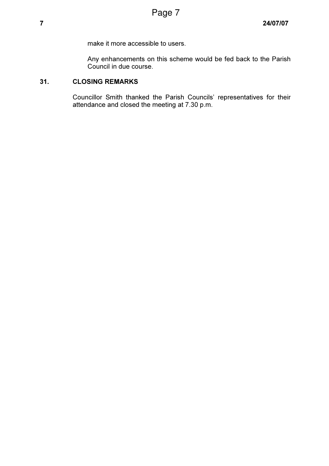make it more accessible to users.

 Any enhancements on this scheme would be fed back to the Parish Council in due course.

# 31. CLOSING REMARKS

 Councillor Smith thanked the Parish Councils' representatives for their attendance and closed the meeting at 7.30 p.m.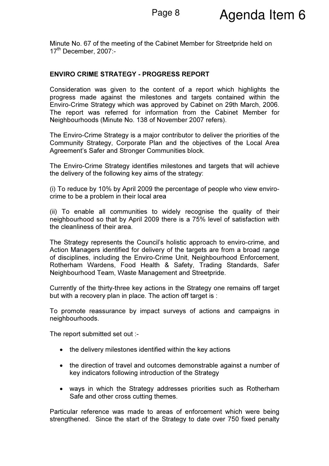Minute No. 67 of the meeting of the Cabinet Member for Streetpride held on 17<sup>th</sup> December, 2007:-

### ENVIRO CRIME STRATEGY - PROGRESS REPORT

Consideration was given to the content of a report which highlights the progress made against the milestones and targets contained within the Enviro-Crime Strategy which was approved by Cabinet on 29th March, 2006. The report was referred for information from the Cabinet Member for Neighbourhoods (Minute No. 138 of November 2007 refers).

The Enviro-Crime Strategy is a major contributor to deliver the priorities of the Community Strategy, Corporate Plan and the objectives of the Local Area Agreement's Safer and Stronger Communities block.

The Enviro-Crime Strategy identifies milestones and targets that will achieve the delivery of the following key aims of the strategy:

(i) To reduce by 10% by April 2009 the percentage of people who view envirocrime to be a problem in their local area

(ii) To enable all communities to widely recognise the quality of their neighbourhood so that by April 2009 there is a 75% level of satisfaction with the cleanliness of their area.

The Strategy represents the Council's holistic approach to enviro-crime, and Action Managers identified for delivery of the targets are from a broad range of disciplines, including the Enviro-Crime Unit, Neighbourhood Enforcement, Rotherham Wardens, Food Health & Safety, Trading Standards, Safer Neighbourhood Team, Waste Management and Streetpride.

Currently of the thirty-three key actions in the Strategy one remains off target but with a recovery plan in place. The action off target is :

To promote reassurance by impact surveys of actions and campaigns in neighbourhoods.

The report submitted set out :-

- the delivery milestones identified within the key actions
- the direction of travel and outcomes demonstrable against a number of key indicators following introduction of the Strategy
- ways in which the Strategy addresses priorities such as Rotherham Safe and other cross cutting themes.

Particular reference was made to areas of enforcement which were being strengthened. Since the start of the Strategy to date over 750 fixed penalty